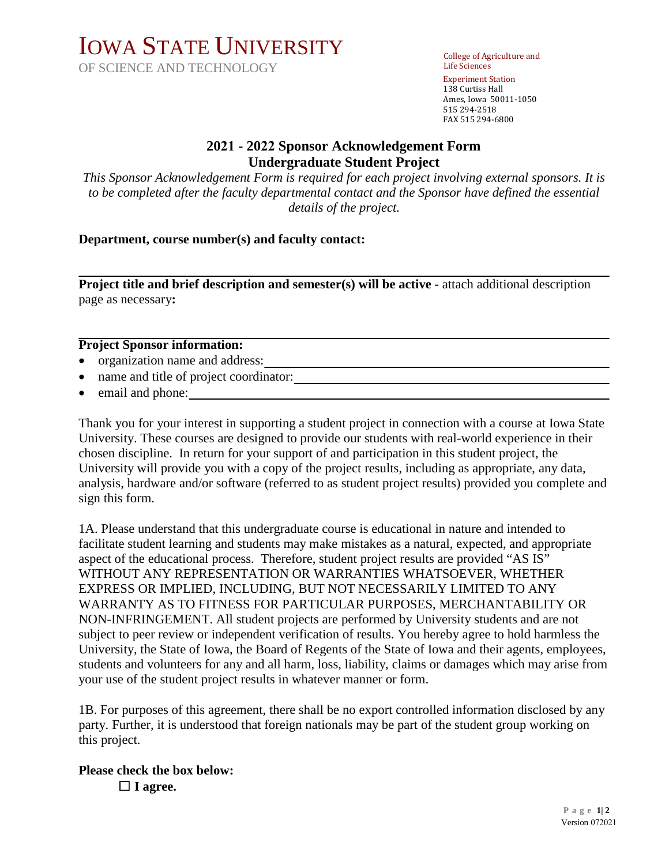# IOWA STATE UNIVERSITY

OF SCIENCE AND TECHNOLOGY

College of Agriculture and Life Sciences Experiment Station 138 Curtiss Hall Ames, Iowa 50011-1050 515 294-2518 FAX 515 294-6800

# **2021 - 2022 Sponsor Acknowledgement Form Undergraduate Student Project**

*This Sponsor Acknowledgement Form is required for each project involving external sponsors. It is to be completed after the faculty departmental contact and the Sponsor have defined the essential details of the project.*

### **Department, course number(s) and faculty contact:**

**Project title and brief description and semester(s) will be active - attach additional description** page as necessary**:** 

#### **Project Sponsor information:**

- organization name and address:
- name and title of project coordinator:
- email and phone:

Thank you for your interest in supporting a student project in connection with a course at Iowa State University. These courses are designed to provide our students with real-world experience in their chosen discipline. In return for your support of and participation in this student project, the University will provide you with a copy of the project results, including as appropriate, any data, analysis, hardware and/or software (referred to as student project results) provided you complete and sign this form.

1A. Please understand that this undergraduate course is educational in nature and intended to facilitate student learning and students may make mistakes as a natural, expected, and appropriate aspect of the educational process. Therefore, student project results are provided "AS IS" WITHOUT ANY REPRESENTATION OR WARRANTIES WHATSOEVER, WHETHER EXPRESS OR IMPLIED, INCLUDING, BUT NOT NECESSARILY LIMITED TO ANY WARRANTY AS TO FITNESS FOR PARTICULAR PURPOSES, MERCHANTABILITY OR NON-INFRINGEMENT. All student projects are performed by University students and are not subject to peer review or independent verification of results. You hereby agree to hold harmless the University, the State of Iowa, the Board of Regents of the State of Iowa and their agents, employees, students and volunteers for any and all harm, loss, liability, claims or damages which may arise from your use of the student project results in whatever manner or form.

1B. For purposes of this agreement, there shall be no export controlled information disclosed by any party. Further, it is understood that foreign nationals may be part of the student group working on this project.

#### **Please check the box below:** ☐ **I agree.**